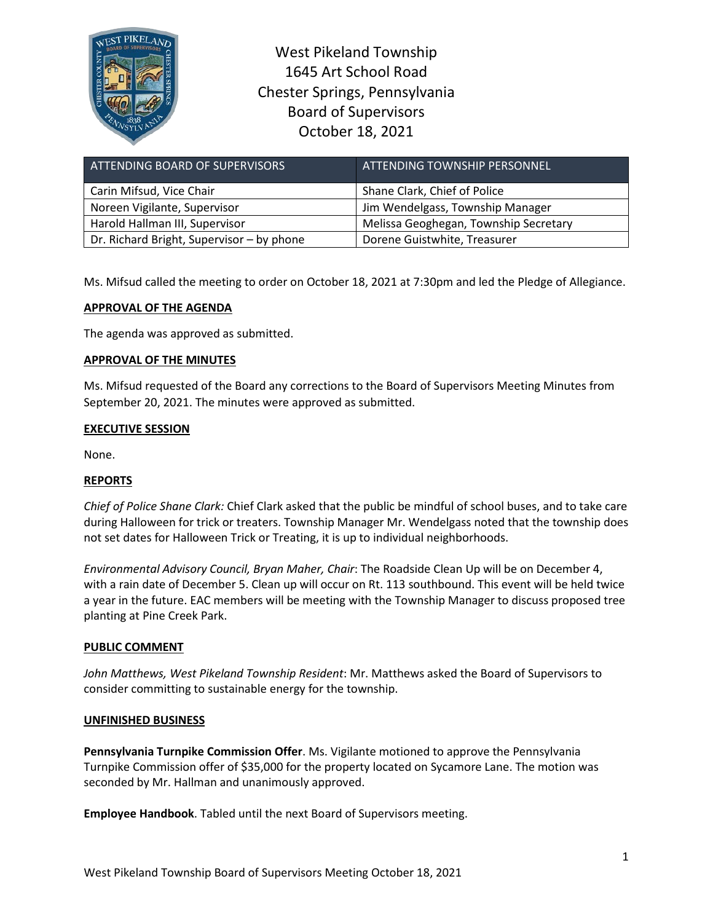

West Pikeland Township 1645 Art School Road Chester Springs, Pennsylvania Board of Supervisors October 18, 2021

| ATTENDING BOARD OF SUPERVISORS            | ATTENDING TOWNSHIP PERSONNEL          |
|-------------------------------------------|---------------------------------------|
| Carin Mifsud, Vice Chair                  | Shane Clark, Chief of Police          |
| Noreen Vigilante, Supervisor              | Jim Wendelgass, Township Manager      |
| Harold Hallman III, Supervisor            | Melissa Geoghegan, Township Secretary |
| Dr. Richard Bright, Supervisor - by phone | Dorene Guistwhite, Treasurer          |

Ms. Mifsud called the meeting to order on October 18, 2021 at 7:30pm and led the Pledge of Allegiance.

# **APPROVAL OF THE AGENDA**

The agenda was approved as submitted.

## **APPROVAL OF THE MINUTES**

Ms. Mifsud requested of the Board any corrections to the Board of Supervisors Meeting Minutes from September 20, 2021. The minutes were approved as submitted.

## **EXECUTIVE SESSION**

None.

## **REPORTS**

*Chief of Police Shane Clark:* Chief Clark asked that the public be mindful of school buses, and to take care during Halloween for trick or treaters. Township Manager Mr. Wendelgass noted that the township does not set dates for Halloween Trick or Treating, it is up to individual neighborhoods.

*Environmental Advisory Council, Bryan Maher, Chair*: The Roadside Clean Up will be on December 4, with a rain date of December 5. Clean up will occur on Rt. 113 southbound. This event will be held twice a year in the future. EAC members will be meeting with the Township Manager to discuss proposed tree planting at Pine Creek Park.

## **PUBLIC COMMENT**

*John Matthews, West Pikeland Township Resident*: Mr. Matthews asked the Board of Supervisors to consider committing to sustainable energy for the township.

#### **UNFINISHED BUSINESS**

**Pennsylvania Turnpike Commission Offer**. Ms. Vigilante motioned to approve the Pennsylvania Turnpike Commission offer of \$35,000 for the property located on Sycamore Lane. The motion was seconded by Mr. Hallman and unanimously approved.

**Employee Handbook**. Tabled until the next Board of Supervisors meeting.